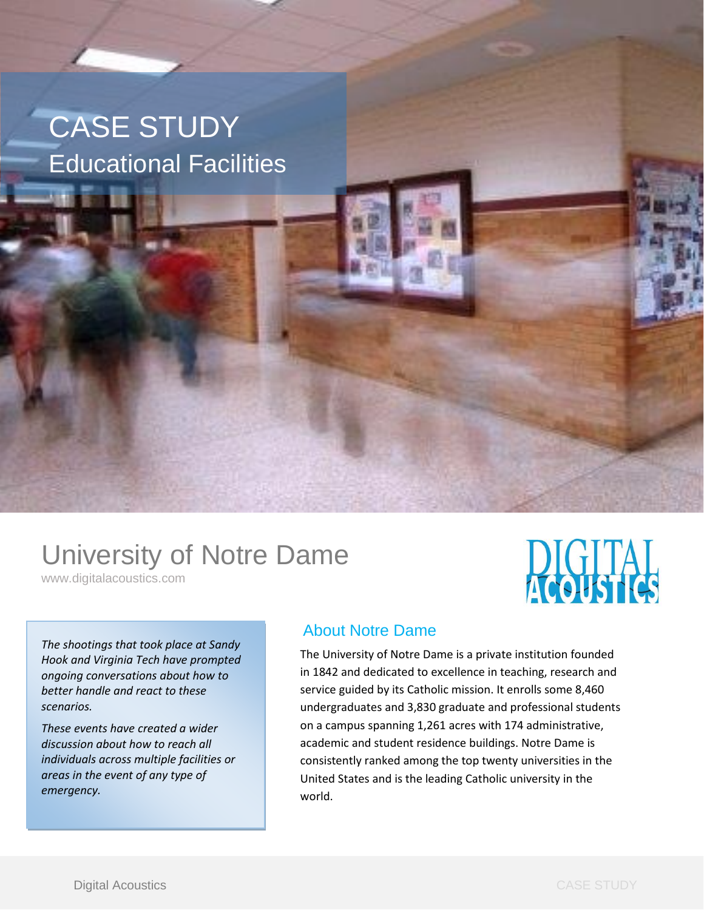# CASE STUDY Educational Facilities

## University of Notre Dame

www.digitalacoustics.com

*The shootings that took place at Sandy Hook and Virginia Tech have prompted ongoing conversations about how to better handle and react to these scenarios.* 

*These events have created a wider discussion about how to reach all individuals across multiple facilities or areas in the event of any type of emergency.*

### About Notre Dame

The University of Notre Dame is a private institution founded in 1842 and dedicated to excellence in teaching, research and service guided by its Catholic mission. It enrolls some 8,460 undergraduates and 3,830 graduate and professional students on a campus spanning 1,261 acres with 174 administrative, academic and student residence buildings. Notre Dame is consistently ranked among the top twenty universities in the United States and is the leading Catholic university in the world.